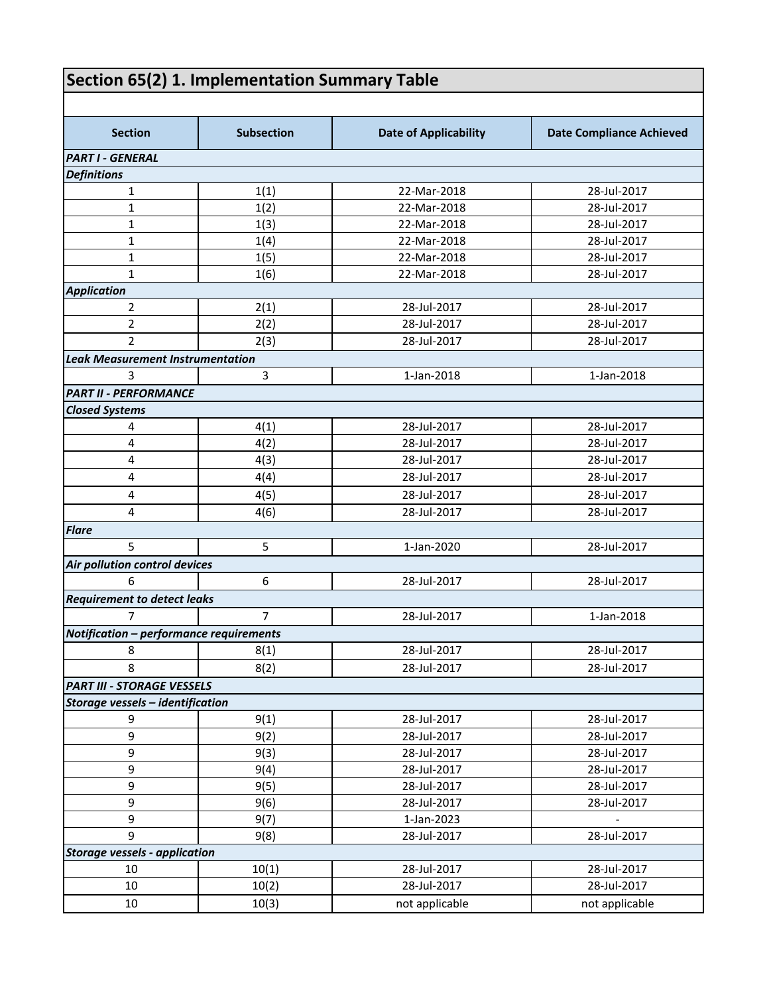## **Section 65(2) 1. Implementation Summary Table**

| <b>Section</b>                          | <b>Subsection</b> | <b>Date of Applicability</b> | <b>Date Compliance Achieved</b> |
|-----------------------------------------|-------------------|------------------------------|---------------------------------|
| <b>PART I - GENERAL</b>                 |                   |                              |                                 |
| <b>Definitions</b>                      |                   |                              |                                 |
| $\mathbf{1}$                            | 1(1)              | 22-Mar-2018                  | 28-Jul-2017                     |
| $\mathbf{1}$                            | 1(2)              | 22-Mar-2018                  | 28-Jul-2017                     |
| $\mathbf{1}$                            | 1(3)              | 22-Mar-2018                  | 28-Jul-2017                     |
| $\mathbf{1}$                            | 1(4)              | 22-Mar-2018                  | 28-Jul-2017                     |
| $\mathbf{1}$                            | 1(5)              | 22-Mar-2018                  | 28-Jul-2017                     |
| $\mathbf{1}$                            | 1(6)              | 22-Mar-2018                  | 28-Jul-2017                     |
| <b>Application</b>                      |                   |                              |                                 |
| $\overline{2}$                          | 2(1)              | 28-Jul-2017                  | 28-Jul-2017                     |
| $\overline{2}$                          | 2(2)              | 28-Jul-2017                  | 28-Jul-2017                     |
| $\overline{2}$                          | 2(3)              | 28-Jul-2017                  | 28-Jul-2017                     |
| <b>Leak Measurement Instrumentation</b> |                   |                              |                                 |
| 3                                       | $\overline{3}$    | 1-Jan-2018                   | 1-Jan-2018                      |
| <b>PART II - PERFORMANCE</b>            |                   |                              |                                 |
| <b>Closed Systems</b>                   |                   |                              |                                 |
| 4                                       | 4(1)              | 28-Jul-2017                  | 28-Jul-2017                     |
| $\overline{4}$                          | 4(2)              | 28-Jul-2017                  | 28-Jul-2017                     |
| $\overline{4}$                          | 4(3)              | 28-Jul-2017                  | 28-Jul-2017                     |
| $\overline{\mathbf{4}}$                 | 4(4)              | 28-Jul-2017                  | 28-Jul-2017                     |
| 4                                       | 4(5)              | 28-Jul-2017                  | 28-Jul-2017                     |
| 4                                       | 4(6)              | 28-Jul-2017                  | 28-Jul-2017                     |
| <b>Flare</b>                            |                   |                              |                                 |
| 5                                       | 5                 | 1-Jan-2020                   | 28-Jul-2017                     |
| Air pollution control devices           |                   |                              |                                 |
| 6                                       | 6                 | 28-Jul-2017                  | 28-Jul-2017                     |
| <b>Requirement to detect leaks</b>      |                   |                              |                                 |
| $\overline{7}$                          | $\overline{7}$    | 28-Jul-2017                  | 1-Jan-2018                      |
| Notification - performance requirements |                   |                              |                                 |
| 8                                       | 8(1)              | 28-Jul-2017                  | 28-Jul-2017                     |
|                                         |                   |                              |                                 |
| 8                                       | 8(2)              | 28-Jul-2017                  | 28-Jul-2017                     |
| <b>PART III - STORAGE VESSELS</b>       |                   |                              |                                 |
| Storage vessels - identification        |                   |                              |                                 |
| 9                                       | 9(1)              | 28-Jul-2017                  | 28-Jul-2017                     |
| 9                                       | 9(2)              | 28-Jul-2017                  | 28-Jul-2017                     |
| 9                                       | 9(3)              | 28-Jul-2017                  | 28-Jul-2017                     |
| 9                                       | 9(4)              | 28-Jul-2017                  | 28-Jul-2017                     |
| 9                                       | 9(5)              | 28-Jul-2017                  | 28-Jul-2017                     |
| 9                                       | 9(6)              | 28-Jul-2017                  | 28-Jul-2017                     |
| 9                                       | 9(7)              | 1-Jan-2023                   |                                 |
| 9                                       | 9(8)              | 28-Jul-2017                  | 28-Jul-2017                     |
| <b>Storage vessels - application</b>    |                   |                              |                                 |
| 10                                      | 10(1)             | 28-Jul-2017                  | 28-Jul-2017                     |
| 10                                      | 10(2)             | 28-Jul-2017                  | 28-Jul-2017                     |
| 10                                      | 10(3)             | not applicable               | not applicable                  |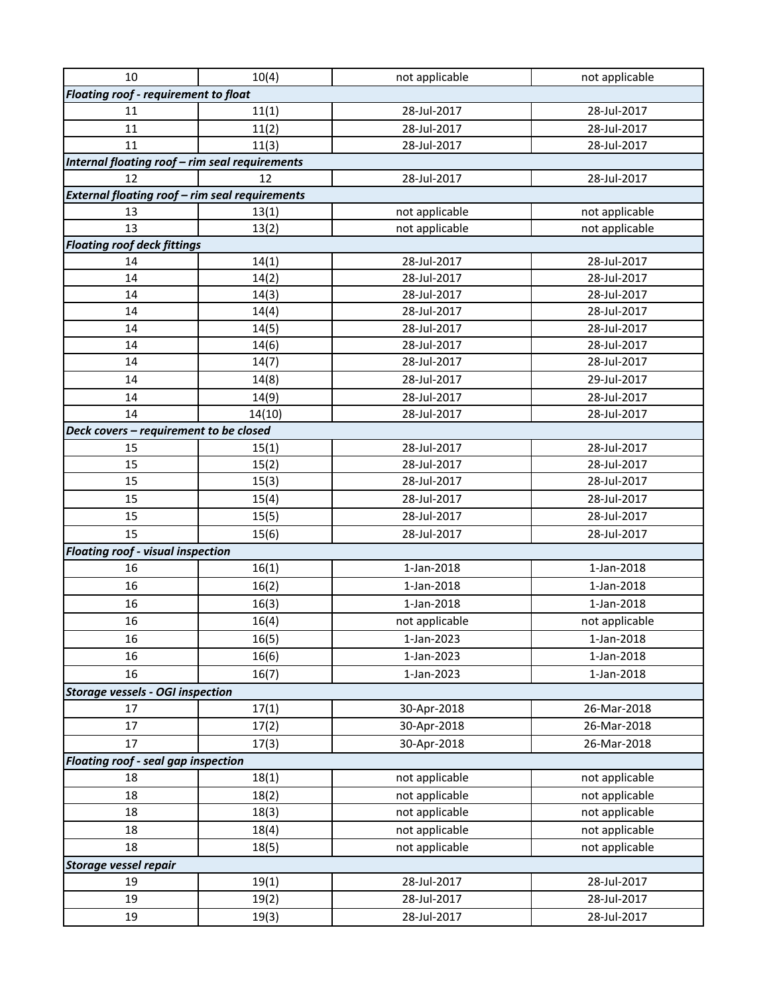| 10                                                    | 10(4)  | not applicable | not applicable |  |
|-------------------------------------------------------|--------|----------------|----------------|--|
| Floating roof - requirement to float                  |        |                |                |  |
| 11                                                    | 11(1)  | 28-Jul-2017    | 28-Jul-2017    |  |
| 11                                                    | 11(2)  | 28-Jul-2017    | 28-Jul-2017    |  |
| 11                                                    | 11(3)  | 28-Jul-2017    | 28-Jul-2017    |  |
| Internal floating roof - rim seal requirements        |        |                |                |  |
| 12                                                    | 12     | 28-Jul-2017    | 28-Jul-2017    |  |
| <b>External floating roof - rim seal requirements</b> |        |                |                |  |
| 13                                                    | 13(1)  | not applicable | not applicable |  |
| 13                                                    | 13(2)  | not applicable | not applicable |  |
| <b>Floating roof deck fittings</b>                    |        |                |                |  |
| 14                                                    | 14(1)  | 28-Jul-2017    | 28-Jul-2017    |  |
| 14                                                    | 14(2)  | 28-Jul-2017    | 28-Jul-2017    |  |
| 14                                                    | 14(3)  | 28-Jul-2017    | 28-Jul-2017    |  |
| 14                                                    | 14(4)  | 28-Jul-2017    | 28-Jul-2017    |  |
| 14                                                    | 14(5)  | 28-Jul-2017    | 28-Jul-2017    |  |
| 14                                                    | 14(6)  | 28-Jul-2017    | 28-Jul-2017    |  |
| 14                                                    | 14(7)  | 28-Jul-2017    | 28-Jul-2017    |  |
| 14                                                    | 14(8)  | 28-Jul-2017    | 29-Jul-2017    |  |
| 14                                                    | 14(9)  | 28-Jul-2017    | 28-Jul-2017    |  |
| 14                                                    | 14(10) | 28-Jul-2017    | 28-Jul-2017    |  |
| Deck covers - requirement to be closed                |        |                |                |  |
| 15                                                    | 15(1)  | 28-Jul-2017    | 28-Jul-2017    |  |
| 15                                                    | 15(2)  | 28-Jul-2017    | 28-Jul-2017    |  |
| 15                                                    | 15(3)  | 28-Jul-2017    | 28-Jul-2017    |  |
| 15                                                    | 15(4)  | 28-Jul-2017    | 28-Jul-2017    |  |
| 15                                                    | 15(5)  | 28-Jul-2017    | 28-Jul-2017    |  |
| 15                                                    | 15(6)  | 28-Jul-2017    | 28-Jul-2017    |  |
| <b>Floating roof - visual inspection</b>              |        |                |                |  |
| 16                                                    | 16(1)  | 1-Jan-2018     | 1-Jan-2018     |  |
| 16                                                    | 16(2)  | 1-Jan-2018     | 1-Jan-2018     |  |
| 16                                                    | 16(3)  | 1-Jan-2018     | 1-Jan-2018     |  |
| 16                                                    | 16(4)  | not applicable | not applicable |  |
| 16                                                    | 16(5)  | 1-Jan-2023     | 1-Jan-2018     |  |
| 16                                                    | 16(6)  | 1-Jan-2023     | 1-Jan-2018     |  |
| 16                                                    | 16(7)  | 1-Jan-2023     | 1-Jan-2018     |  |
| <b>Storage vessels - OGI inspection</b>               |        |                |                |  |
| 17                                                    | 17(1)  | 30-Apr-2018    | 26-Mar-2018    |  |
| 17                                                    | 17(2)  | 30-Apr-2018    | 26-Mar-2018    |  |
| 17                                                    | 17(3)  | 30-Apr-2018    | 26-Mar-2018    |  |
| Floating roof - seal gap inspection                   |        |                |                |  |
| 18                                                    | 18(1)  | not applicable | not applicable |  |
| 18                                                    | 18(2)  | not applicable | not applicable |  |
| 18                                                    | 18(3)  | not applicable | not applicable |  |
| 18                                                    | 18(4)  | not applicable | not applicable |  |
| 18                                                    | 18(5)  | not applicable | not applicable |  |
| <b>Storage vessel repair</b>                          |        |                |                |  |
| 19                                                    | 19(1)  | 28-Jul-2017    | 28-Jul-2017    |  |
| 19                                                    | 19(2)  | 28-Jul-2017    | 28-Jul-2017    |  |
| 19                                                    |        | 28-Jul-2017    | 28-Jul-2017    |  |
|                                                       | 19(3)  |                |                |  |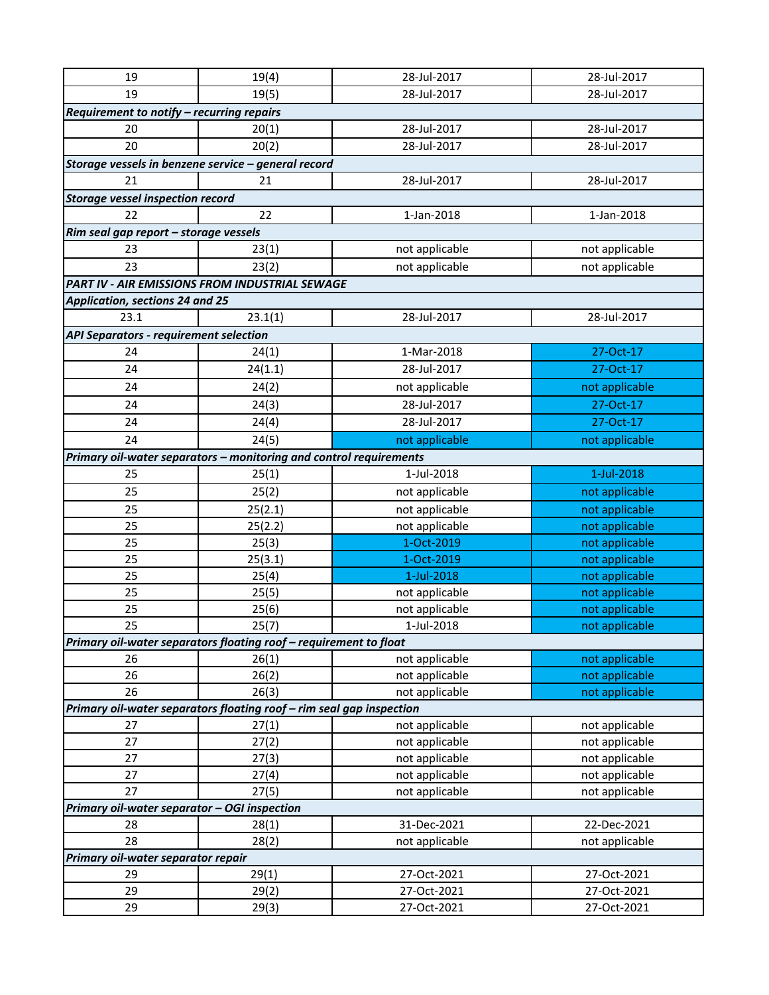| 19                                            | 19(4)                                                                | 28-Jul-2017    | 28-Jul-2017    |
|-----------------------------------------------|----------------------------------------------------------------------|----------------|----------------|
| 19                                            | 19(5)                                                                | 28-Jul-2017    | 28-Jul-2017    |
| Requirement to notify - recurring repairs     |                                                                      |                |                |
| 20                                            | 20(1)                                                                | 28-Jul-2017    | 28-Jul-2017    |
| 20                                            | 20(2)                                                                | 28-Jul-2017    | 28-Jul-2017    |
|                                               | Storage vessels in benzene service - general record                  |                |                |
| 21                                            | 21                                                                   | 28-Jul-2017    | 28-Jul-2017    |
| <b>Storage vessel inspection record</b>       |                                                                      |                |                |
| 22                                            | 22                                                                   | 1-Jan-2018     | 1-Jan-2018     |
| Rim seal gap report - storage vessels         |                                                                      |                |                |
| 23                                            | 23(1)                                                                | not applicable | not applicable |
| 23                                            | 23(2)                                                                | not applicable | not applicable |
|                                               | PART IV - AIR EMISSIONS FROM INDUSTRIAL SEWAGE                       |                |                |
| <b>Application, sections 24 and 25</b>        |                                                                      |                |                |
| 23.1                                          | 23.1(1)                                                              | 28-Jul-2017    | 28-Jul-2017    |
| <b>API Separators - requirement selection</b> |                                                                      |                |                |
| 24                                            | 24(1)                                                                | 1-Mar-2018     | 27-Oct-17      |
| 24                                            | 24(1.1)                                                              | 28-Jul-2017    | 27-Oct-17      |
| 24                                            | 24(2)                                                                | not applicable | not applicable |
| 24                                            |                                                                      | 28-Jul-2017    | 27-Oct-17      |
|                                               | 24(3)                                                                |                |                |
| 24                                            | 24(4)                                                                | 28-Jul-2017    | 27-Oct-17      |
| 24                                            | 24(5)                                                                | not applicable | not applicable |
|                                               | Primary oil-water separators - monitoring and control requirements   |                |                |
| 25                                            | 25(1)                                                                | 1-Jul-2018     | 1-Jul-2018     |
| 25                                            | 25(2)                                                                | not applicable | not applicable |
| 25                                            | 25(2.1)                                                              | not applicable | not applicable |
| 25                                            | 25(2.2)                                                              | not applicable | not applicable |
| 25                                            | 25(3)                                                                | 1-Oct-2019     | not applicable |
| 25                                            | 25(3.1)                                                              | 1-Oct-2019     | not applicable |
| 25                                            | 25(4)                                                                | 1-Jul-2018     | not applicable |
| 25                                            | 25(5)                                                                | not applicable | not applicable |
| 25                                            | 25(6)                                                                | not applicable | not applicable |
| 25                                            | 25(7)                                                                | 1-Jul-2018     | not applicable |
|                                               | Primary oil-water separators floating roof - requirement to float    |                |                |
| 26                                            | 26(1)                                                                | not applicable | not applicable |
| 26                                            | 26(2)                                                                | not applicable | not applicable |
| 26                                            | 26(3)                                                                | not applicable | not applicable |
|                                               | Primary oil-water separators floating roof - rim seal gap inspection |                |                |
| 27                                            | 27(1)                                                                | not applicable | not applicable |
| 27                                            | 27(2)                                                                | not applicable | not applicable |
| 27                                            | 27(3)                                                                | not applicable | not applicable |
| 27                                            | 27(4)                                                                | not applicable | not applicable |
| 27                                            | 27(5)                                                                | not applicable | not applicable |
| Primary oil-water separator - OGI inspection  |                                                                      |                |                |
| 28                                            | 28(1)                                                                | 31-Dec-2021    | 22-Dec-2021    |
| 28                                            | 28(2)                                                                | not applicable | not applicable |
| Primary oil-water separator repair            |                                                                      |                |                |
| 29                                            | 29(1)                                                                | 27-Oct-2021    | 27-Oct-2021    |
| 29                                            | 29(2)                                                                | 27-Oct-2021    | 27-Oct-2021    |
| 29                                            | 29(3)                                                                | 27-Oct-2021    | 27-Oct-2021    |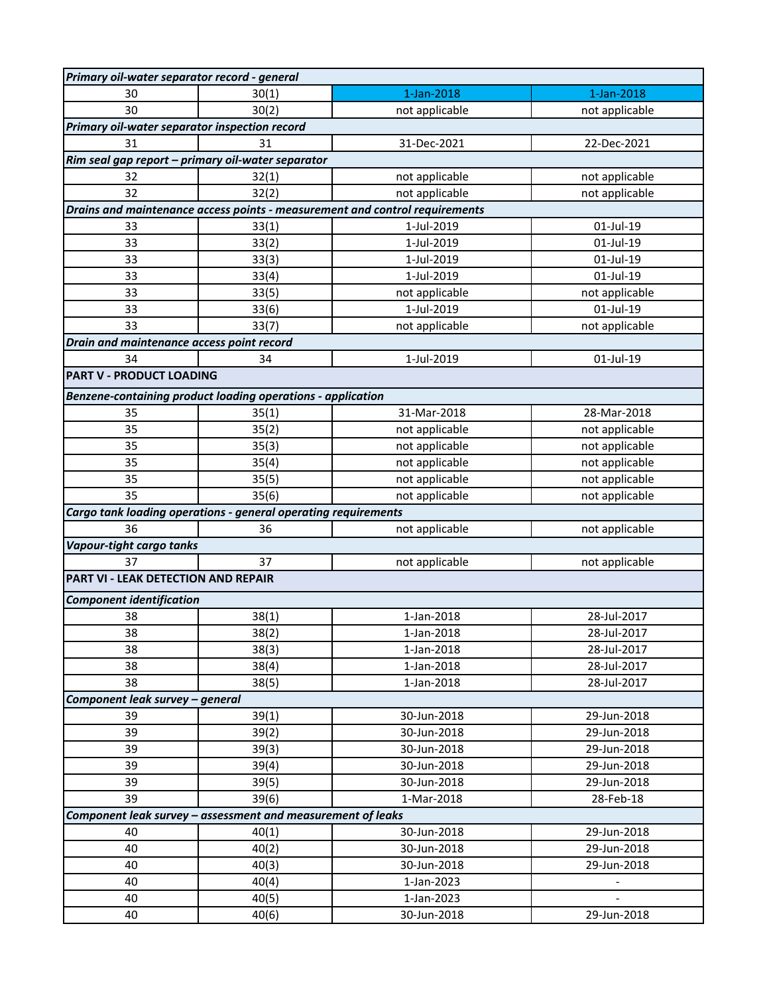| Primary oil-water separator record - general      |                                                                |                                                                             |                |
|---------------------------------------------------|----------------------------------------------------------------|-----------------------------------------------------------------------------|----------------|
| 30                                                | 30(1)                                                          | 1-Jan-2018                                                                  | 1-Jan-2018     |
| 30                                                | 30(2)                                                          | not applicable                                                              | not applicable |
| Primary oil-water separator inspection record     |                                                                |                                                                             |                |
| 31                                                | 31                                                             | 31-Dec-2021                                                                 | 22-Dec-2021    |
| Rim seal gap report - primary oil-water separator |                                                                |                                                                             |                |
| 32                                                | 32(1)                                                          | not applicable                                                              | not applicable |
| 32                                                | 32(2)                                                          | not applicable                                                              | not applicable |
|                                                   |                                                                | Drains and maintenance access points - measurement and control requirements |                |
| 33                                                | 33(1)                                                          | 1-Jul-2019                                                                  | 01-Jul-19      |
| 33                                                | 33(2)                                                          | 1-Jul-2019                                                                  | 01-Jul-19      |
| 33                                                | 33(3)                                                          | 1-Jul-2019                                                                  | 01-Jul-19      |
| 33                                                | 33(4)                                                          | 1-Jul-2019                                                                  | 01-Jul-19      |
| 33                                                | 33(5)                                                          | not applicable                                                              | not applicable |
| 33                                                | 33(6)                                                          | 1-Jul-2019                                                                  | 01-Jul-19      |
| 33                                                | 33(7)                                                          | not applicable                                                              | not applicable |
| Drain and maintenance access point record         |                                                                |                                                                             |                |
| 34                                                | 34                                                             | 1-Jul-2019                                                                  | 01-Jul-19      |
| <b>PART V - PRODUCT LOADING</b>                   |                                                                |                                                                             |                |
|                                                   | Benzene-containing product loading operations - application    |                                                                             |                |
| 35                                                | 35(1)                                                          | 31-Mar-2018                                                                 | 28-Mar-2018    |
| 35                                                | 35(2)                                                          | not applicable                                                              | not applicable |
| 35                                                | 35(3)                                                          | not applicable                                                              | not applicable |
| 35                                                | 35(4)                                                          | not applicable                                                              | not applicable |
| 35                                                | 35(5)                                                          | not applicable                                                              | not applicable |
| 35                                                | 35(6)                                                          | not applicable                                                              | not applicable |
|                                                   | Cargo tank loading operations - general operating requirements |                                                                             |                |
| 36                                                | 36                                                             | not applicable                                                              | not applicable |
| Vapour-tight cargo tanks                          |                                                                |                                                                             |                |
| 37                                                | 37                                                             | not applicable                                                              | not applicable |
| PART VI - LEAK DETECTION AND REPAIR               |                                                                |                                                                             |                |
|                                                   |                                                                |                                                                             |                |
| <b>Component identification</b>                   |                                                                |                                                                             |                |
| 38                                                | 38(1)                                                          | 1-Jan-2018                                                                  | 28-Jul-2017    |
| 38                                                | 38(2)                                                          | 1-Jan-2018                                                                  | 28-Jul-2017    |
| 38                                                | 38(3)                                                          | 1-Jan-2018                                                                  | 28-Jul-2017    |
| 38                                                | 38(4)                                                          | 1-Jan-2018                                                                  | 28-Jul-2017    |
| 38                                                | 38(5)                                                          | 1-Jan-2018                                                                  | 28-Jul-2017    |
| Component leak survey - general                   |                                                                |                                                                             |                |
| 39                                                | 39(1)                                                          | 30-Jun-2018                                                                 | 29-Jun-2018    |
| 39                                                | 39(2)                                                          | 30-Jun-2018                                                                 | 29-Jun-2018    |
| 39                                                | 39(3)                                                          | 30-Jun-2018                                                                 | 29-Jun-2018    |
| 39                                                | 39(4)                                                          | 30-Jun-2018                                                                 | 29-Jun-2018    |
| 39                                                | 39(5)                                                          | 30-Jun-2018                                                                 | 29-Jun-2018    |
| 39                                                | 39(6)                                                          | 1-Mar-2018                                                                  | 28-Feb-18      |
|                                                   | Component leak survey - assessment and measurement of leaks    |                                                                             |                |
| 40                                                | 40(1)                                                          | 30-Jun-2018                                                                 | 29-Jun-2018    |
| 40                                                | 40(2)                                                          | 30-Jun-2018                                                                 | 29-Jun-2018    |
| 40                                                | 40(3)                                                          | 30-Jun-2018                                                                 | 29-Jun-2018    |
| 40                                                | 40(4)                                                          | 1-Jan-2023                                                                  |                |
| 40                                                | 40(5)                                                          | 1-Jan-2023                                                                  |                |
| 40                                                | 40(6)                                                          | 30-Jun-2018                                                                 | 29-Jun-2018    |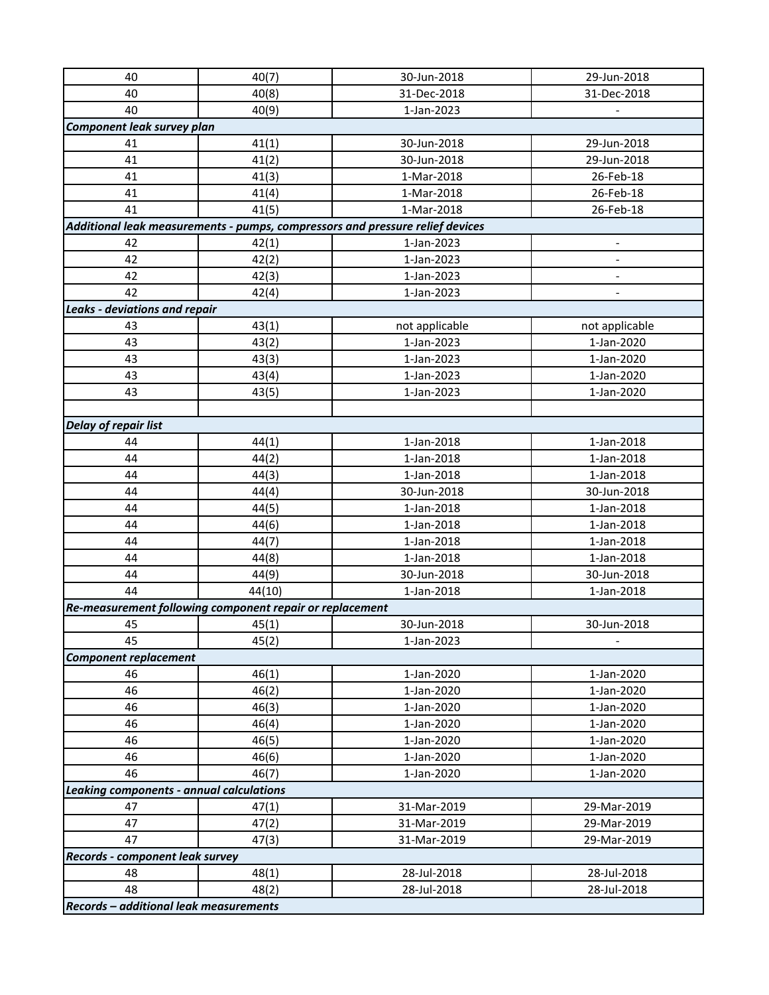| 40                                       | 40(7)                                                    | 30-Jun-2018                                                                   | 29-Jun-2018                  |
|------------------------------------------|----------------------------------------------------------|-------------------------------------------------------------------------------|------------------------------|
| 40                                       | 40(8)                                                    | 31-Dec-2018                                                                   | 31-Dec-2018                  |
| 40                                       | 40(9)                                                    | 1-Jan-2023                                                                    |                              |
| Component leak survey plan               |                                                          |                                                                               |                              |
| 41                                       | 41(1)                                                    | 30-Jun-2018                                                                   | 29-Jun-2018                  |
| 41                                       | 41(2)                                                    | 30-Jun-2018                                                                   | 29-Jun-2018                  |
| 41                                       | 41(3)                                                    | 1-Mar-2018                                                                    | 26-Feb-18                    |
| 41                                       | 41(4)                                                    | 1-Mar-2018                                                                    | 26-Feb-18                    |
| 41                                       | 41(5)                                                    | 1-Mar-2018                                                                    | 26-Feb-18                    |
|                                          |                                                          | Additional leak measurements - pumps, compressors and pressure relief devices |                              |
| 42                                       | 42(1)                                                    | 1-Jan-2023                                                                    | -                            |
| 42                                       | 42(2)                                                    | 1-Jan-2023                                                                    | $\qquad \qquad \blacksquare$ |
| 42                                       | 42(3)                                                    | 1-Jan-2023                                                                    | $\overline{\phantom{a}}$     |
| 42                                       | 42(4)                                                    | 1-Jan-2023                                                                    |                              |
| <b>Leaks - deviations and repair</b>     |                                                          |                                                                               |                              |
| 43                                       | 43(1)                                                    | not applicable                                                                | not applicable               |
| 43                                       | 43(2)                                                    | 1-Jan-2023                                                                    | 1-Jan-2020                   |
| 43                                       | 43(3)                                                    | 1-Jan-2023                                                                    | 1-Jan-2020                   |
| 43                                       | 43(4)                                                    | 1-Jan-2023                                                                    | 1-Jan-2020                   |
| 43                                       | 43(5)                                                    | 1-Jan-2023                                                                    | 1-Jan-2020                   |
|                                          |                                                          |                                                                               |                              |
| <b>Delay of repair list</b>              |                                                          |                                                                               |                              |
| 44                                       | 44(1)                                                    | 1-Jan-2018                                                                    | 1-Jan-2018                   |
| 44                                       | 44(2)                                                    | 1-Jan-2018                                                                    | 1-Jan-2018                   |
| 44                                       | 44(3)                                                    | 1-Jan-2018                                                                    | 1-Jan-2018                   |
| 44                                       | 44(4)                                                    | 30-Jun-2018                                                                   | 30-Jun-2018                  |
| 44                                       | 44(5)                                                    | 1-Jan-2018                                                                    | 1-Jan-2018                   |
| 44                                       | 44(6)                                                    | 1-Jan-2018                                                                    | 1-Jan-2018                   |
| 44                                       | 44(7)                                                    | 1-Jan-2018                                                                    | 1-Jan-2018                   |
| 44                                       | 44(8)                                                    | 1-Jan-2018                                                                    | 1-Jan-2018                   |
| 44                                       | 44(9)                                                    | 30-Jun-2018                                                                   | 30-Jun-2018                  |
| 44                                       | 44(10)                                                   | 1-Jan-2018                                                                    | 1-Jan-2018                   |
|                                          | Re-measurement following component repair or replacement |                                                                               |                              |
| 45                                       | 45(1)                                                    | 30-Jun-2018                                                                   | 30-Jun-2018                  |
| 45                                       | 45(2)                                                    | 1-Jan-2023                                                                    |                              |
| <b>Component replacement</b>             |                                                          |                                                                               |                              |
| 46                                       | 46(1)                                                    | 1-Jan-2020                                                                    | 1-Jan-2020                   |
| 46                                       | 46(2)                                                    | 1-Jan-2020                                                                    | 1-Jan-2020                   |
| 46                                       | 46(3)                                                    | 1-Jan-2020                                                                    | 1-Jan-2020                   |
| 46                                       | 46(4)                                                    | 1-Jan-2020                                                                    | 1-Jan-2020                   |
| 46                                       | 46(5)                                                    | 1-Jan-2020                                                                    | 1-Jan-2020                   |
| 46                                       | 46(6)                                                    | 1-Jan-2020                                                                    | 1-Jan-2020                   |
| 46                                       | 46(7)                                                    | 1-Jan-2020                                                                    | 1-Jan-2020                   |
| Leaking components - annual calculations |                                                          |                                                                               |                              |
| 47                                       | 47(1)                                                    | 31-Mar-2019                                                                   | 29-Mar-2019                  |
| 47                                       | 47(2)                                                    | 31-Mar-2019                                                                   | 29-Mar-2019                  |
| 47                                       | 47(3)                                                    | 31-Mar-2019                                                                   | 29-Mar-2019                  |
| Records - component leak survey          |                                                          |                                                                               |                              |
| 48                                       | 48(1)                                                    | 28-Jul-2018                                                                   | 28-Jul-2018                  |
| 48                                       | 48(2)                                                    | 28-Jul-2018                                                                   | 28-Jul-2018                  |
| Records - additional leak measurements   |                                                          |                                                                               |                              |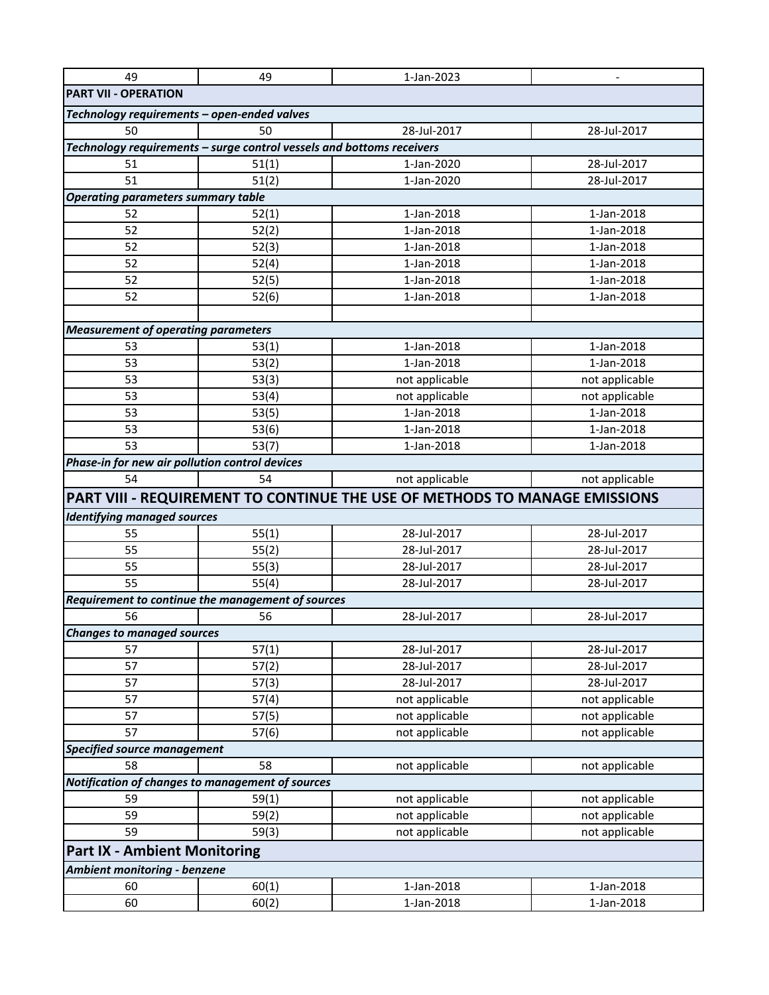| <b>PART VII - OPERATION</b><br>Technology requirements - open-ended valves<br>50<br>50<br>28-Jul-2017<br>28-Jul-2017<br>Technology requirements - surge control vessels and bottoms receivers<br>51(1)<br>28-Jul-2017<br>51<br>1-Jan-2020<br>51<br>51(2)<br>28-Jul-2017<br>1-Jan-2020<br><b>Operating parameters summary table</b><br>1-Jan-2018<br>52<br>52(1)<br>1-Jan-2018<br>52<br>1-Jan-2018<br>1-Jan-2018<br>52(2)<br>52<br>52(3)<br>1-Jan-2018<br>1-Jan-2018<br>52<br>52(4)<br>1-Jan-2018<br>1-Jan-2018<br>52<br>52(5)<br>1-Jan-2018<br>1-Jan-2018<br>52<br>1-Jan-2018<br>1-Jan-2018<br>52(6)<br><b>Measurement of operating parameters</b><br>53(1)<br>1-Jan-2018<br>1-Jan-2018<br>53<br>53<br>53(2)<br>1-Jan-2018<br>1-Jan-2018<br>53<br>53(3)<br>not applicable<br>not applicable<br>53<br>53(4)<br>not applicable<br>not applicable<br>1-Jan-2018<br>53<br>53(5)<br>1-Jan-2018<br>1-Jan-2018<br>1-Jan-2018<br>53<br>53(6)<br>53<br>53(7)<br>1-Jan-2018<br>1-Jan-2018<br>Phase-in for new air pollution control devices<br>54<br>54<br>not applicable<br>not applicable<br>PART VIII - REQUIREMENT TO CONTINUE THE USE OF METHODS TO MANAGE EMISSIONS<br><b>Identifying managed sources</b><br>55(1)<br>28-Jul-2017<br>55<br>28-Jul-2017<br>28-Jul-2017<br>28-Jul-2017<br>55<br>55(2)<br>55<br>55(3)<br>28-Jul-2017<br>28-Jul-2017<br>55<br>55(4)<br>28-Jul-2017<br>28-Jul-2017<br>Requirement to continue the management of sources<br>28-Jul-2017<br>56<br>56<br>28-Jul-2017<br><b>Changes to managed sources</b><br>57(1)<br>28-Jul-2017<br>57<br>28-Jul-2017<br>57<br>57(2)<br>28-Jul-2017<br>28-Jul-2017<br>28-Jul-2017<br>57<br>57(3)<br>28-Jul-2017<br>57<br>57(4)<br>not applicable<br>not applicable<br>57<br>57(5)<br>not applicable<br>not applicable<br>not applicable<br>not applicable<br>57<br>57(6)<br><b>Specified source management</b><br>58<br>58<br>not applicable<br>not applicable<br>Notification of changes to management of sources<br>59<br>59(1)<br>not applicable<br>not applicable<br>59<br>not applicable<br>not applicable<br>59(2)<br>59<br>not applicable<br>59(3)<br>not applicable<br><b>Part IX - Ambient Monitoring</b><br>Ambient monitoring - benzene<br>60<br>60(1)<br>1-Jan-2018<br>1-Jan-2018<br>60<br>60(2)<br>1-Jan-2018<br>1-Jan-2018 | 49 | 49 | 1-Jan-2023 | $\qquad \qquad \blacksquare$ |
|-----------------------------------------------------------------------------------------------------------------------------------------------------------------------------------------------------------------------------------------------------------------------------------------------------------------------------------------------------------------------------------------------------------------------------------------------------------------------------------------------------------------------------------------------------------------------------------------------------------------------------------------------------------------------------------------------------------------------------------------------------------------------------------------------------------------------------------------------------------------------------------------------------------------------------------------------------------------------------------------------------------------------------------------------------------------------------------------------------------------------------------------------------------------------------------------------------------------------------------------------------------------------------------------------------------------------------------------------------------------------------------------------------------------------------------------------------------------------------------------------------------------------------------------------------------------------------------------------------------------------------------------------------------------------------------------------------------------------------------------------------------------------------------------------------------------------------------------------------------------------------------------------------------------------------------------------------------------------------------------------------------------------------------------------------------------------------------------------------------------------------------------------------------------------------------------------------------------------------------------------------------------------------------------------|----|----|------------|------------------------------|
|                                                                                                                                                                                                                                                                                                                                                                                                                                                                                                                                                                                                                                                                                                                                                                                                                                                                                                                                                                                                                                                                                                                                                                                                                                                                                                                                                                                                                                                                                                                                                                                                                                                                                                                                                                                                                                                                                                                                                                                                                                                                                                                                                                                                                                                                                               |    |    |            |                              |
|                                                                                                                                                                                                                                                                                                                                                                                                                                                                                                                                                                                                                                                                                                                                                                                                                                                                                                                                                                                                                                                                                                                                                                                                                                                                                                                                                                                                                                                                                                                                                                                                                                                                                                                                                                                                                                                                                                                                                                                                                                                                                                                                                                                                                                                                                               |    |    |            |                              |
|                                                                                                                                                                                                                                                                                                                                                                                                                                                                                                                                                                                                                                                                                                                                                                                                                                                                                                                                                                                                                                                                                                                                                                                                                                                                                                                                                                                                                                                                                                                                                                                                                                                                                                                                                                                                                                                                                                                                                                                                                                                                                                                                                                                                                                                                                               |    |    |            |                              |
|                                                                                                                                                                                                                                                                                                                                                                                                                                                                                                                                                                                                                                                                                                                                                                                                                                                                                                                                                                                                                                                                                                                                                                                                                                                                                                                                                                                                                                                                                                                                                                                                                                                                                                                                                                                                                                                                                                                                                                                                                                                                                                                                                                                                                                                                                               |    |    |            |                              |
|                                                                                                                                                                                                                                                                                                                                                                                                                                                                                                                                                                                                                                                                                                                                                                                                                                                                                                                                                                                                                                                                                                                                                                                                                                                                                                                                                                                                                                                                                                                                                                                                                                                                                                                                                                                                                                                                                                                                                                                                                                                                                                                                                                                                                                                                                               |    |    |            |                              |
|                                                                                                                                                                                                                                                                                                                                                                                                                                                                                                                                                                                                                                                                                                                                                                                                                                                                                                                                                                                                                                                                                                                                                                                                                                                                                                                                                                                                                                                                                                                                                                                                                                                                                                                                                                                                                                                                                                                                                                                                                                                                                                                                                                                                                                                                                               |    |    |            |                              |
|                                                                                                                                                                                                                                                                                                                                                                                                                                                                                                                                                                                                                                                                                                                                                                                                                                                                                                                                                                                                                                                                                                                                                                                                                                                                                                                                                                                                                                                                                                                                                                                                                                                                                                                                                                                                                                                                                                                                                                                                                                                                                                                                                                                                                                                                                               |    |    |            |                              |
|                                                                                                                                                                                                                                                                                                                                                                                                                                                                                                                                                                                                                                                                                                                                                                                                                                                                                                                                                                                                                                                                                                                                                                                                                                                                                                                                                                                                                                                                                                                                                                                                                                                                                                                                                                                                                                                                                                                                                                                                                                                                                                                                                                                                                                                                                               |    |    |            |                              |
|                                                                                                                                                                                                                                                                                                                                                                                                                                                                                                                                                                                                                                                                                                                                                                                                                                                                                                                                                                                                                                                                                                                                                                                                                                                                                                                                                                                                                                                                                                                                                                                                                                                                                                                                                                                                                                                                                                                                                                                                                                                                                                                                                                                                                                                                                               |    |    |            |                              |
|                                                                                                                                                                                                                                                                                                                                                                                                                                                                                                                                                                                                                                                                                                                                                                                                                                                                                                                                                                                                                                                                                                                                                                                                                                                                                                                                                                                                                                                                                                                                                                                                                                                                                                                                                                                                                                                                                                                                                                                                                                                                                                                                                                                                                                                                                               |    |    |            |                              |
|                                                                                                                                                                                                                                                                                                                                                                                                                                                                                                                                                                                                                                                                                                                                                                                                                                                                                                                                                                                                                                                                                                                                                                                                                                                                                                                                                                                                                                                                                                                                                                                                                                                                                                                                                                                                                                                                                                                                                                                                                                                                                                                                                                                                                                                                                               |    |    |            |                              |
|                                                                                                                                                                                                                                                                                                                                                                                                                                                                                                                                                                                                                                                                                                                                                                                                                                                                                                                                                                                                                                                                                                                                                                                                                                                                                                                                                                                                                                                                                                                                                                                                                                                                                                                                                                                                                                                                                                                                                                                                                                                                                                                                                                                                                                                                                               |    |    |            |                              |
|                                                                                                                                                                                                                                                                                                                                                                                                                                                                                                                                                                                                                                                                                                                                                                                                                                                                                                                                                                                                                                                                                                                                                                                                                                                                                                                                                                                                                                                                                                                                                                                                                                                                                                                                                                                                                                                                                                                                                                                                                                                                                                                                                                                                                                                                                               |    |    |            |                              |
|                                                                                                                                                                                                                                                                                                                                                                                                                                                                                                                                                                                                                                                                                                                                                                                                                                                                                                                                                                                                                                                                                                                                                                                                                                                                                                                                                                                                                                                                                                                                                                                                                                                                                                                                                                                                                                                                                                                                                                                                                                                                                                                                                                                                                                                                                               |    |    |            |                              |
|                                                                                                                                                                                                                                                                                                                                                                                                                                                                                                                                                                                                                                                                                                                                                                                                                                                                                                                                                                                                                                                                                                                                                                                                                                                                                                                                                                                                                                                                                                                                                                                                                                                                                                                                                                                                                                                                                                                                                                                                                                                                                                                                                                                                                                                                                               |    |    |            |                              |
|                                                                                                                                                                                                                                                                                                                                                                                                                                                                                                                                                                                                                                                                                                                                                                                                                                                                                                                                                                                                                                                                                                                                                                                                                                                                                                                                                                                                                                                                                                                                                                                                                                                                                                                                                                                                                                                                                                                                                                                                                                                                                                                                                                                                                                                                                               |    |    |            |                              |
|                                                                                                                                                                                                                                                                                                                                                                                                                                                                                                                                                                                                                                                                                                                                                                                                                                                                                                                                                                                                                                                                                                                                                                                                                                                                                                                                                                                                                                                                                                                                                                                                                                                                                                                                                                                                                                                                                                                                                                                                                                                                                                                                                                                                                                                                                               |    |    |            |                              |
|                                                                                                                                                                                                                                                                                                                                                                                                                                                                                                                                                                                                                                                                                                                                                                                                                                                                                                                                                                                                                                                                                                                                                                                                                                                                                                                                                                                                                                                                                                                                                                                                                                                                                                                                                                                                                                                                                                                                                                                                                                                                                                                                                                                                                                                                                               |    |    |            |                              |
|                                                                                                                                                                                                                                                                                                                                                                                                                                                                                                                                                                                                                                                                                                                                                                                                                                                                                                                                                                                                                                                                                                                                                                                                                                                                                                                                                                                                                                                                                                                                                                                                                                                                                                                                                                                                                                                                                                                                                                                                                                                                                                                                                                                                                                                                                               |    |    |            |                              |
|                                                                                                                                                                                                                                                                                                                                                                                                                                                                                                                                                                                                                                                                                                                                                                                                                                                                                                                                                                                                                                                                                                                                                                                                                                                                                                                                                                                                                                                                                                                                                                                                                                                                                                                                                                                                                                                                                                                                                                                                                                                                                                                                                                                                                                                                                               |    |    |            |                              |
|                                                                                                                                                                                                                                                                                                                                                                                                                                                                                                                                                                                                                                                                                                                                                                                                                                                                                                                                                                                                                                                                                                                                                                                                                                                                                                                                                                                                                                                                                                                                                                                                                                                                                                                                                                                                                                                                                                                                                                                                                                                                                                                                                                                                                                                                                               |    |    |            |                              |
|                                                                                                                                                                                                                                                                                                                                                                                                                                                                                                                                                                                                                                                                                                                                                                                                                                                                                                                                                                                                                                                                                                                                                                                                                                                                                                                                                                                                                                                                                                                                                                                                                                                                                                                                                                                                                                                                                                                                                                                                                                                                                                                                                                                                                                                                                               |    |    |            |                              |
|                                                                                                                                                                                                                                                                                                                                                                                                                                                                                                                                                                                                                                                                                                                                                                                                                                                                                                                                                                                                                                                                                                                                                                                                                                                                                                                                                                                                                                                                                                                                                                                                                                                                                                                                                                                                                                                                                                                                                                                                                                                                                                                                                                                                                                                                                               |    |    |            |                              |
|                                                                                                                                                                                                                                                                                                                                                                                                                                                                                                                                                                                                                                                                                                                                                                                                                                                                                                                                                                                                                                                                                                                                                                                                                                                                                                                                                                                                                                                                                                                                                                                                                                                                                                                                                                                                                                                                                                                                                                                                                                                                                                                                                                                                                                                                                               |    |    |            |                              |
|                                                                                                                                                                                                                                                                                                                                                                                                                                                                                                                                                                                                                                                                                                                                                                                                                                                                                                                                                                                                                                                                                                                                                                                                                                                                                                                                                                                                                                                                                                                                                                                                                                                                                                                                                                                                                                                                                                                                                                                                                                                                                                                                                                                                                                                                                               |    |    |            |                              |
|                                                                                                                                                                                                                                                                                                                                                                                                                                                                                                                                                                                                                                                                                                                                                                                                                                                                                                                                                                                                                                                                                                                                                                                                                                                                                                                                                                                                                                                                                                                                                                                                                                                                                                                                                                                                                                                                                                                                                                                                                                                                                                                                                                                                                                                                                               |    |    |            |                              |
|                                                                                                                                                                                                                                                                                                                                                                                                                                                                                                                                                                                                                                                                                                                                                                                                                                                                                                                                                                                                                                                                                                                                                                                                                                                                                                                                                                                                                                                                                                                                                                                                                                                                                                                                                                                                                                                                                                                                                                                                                                                                                                                                                                                                                                                                                               |    |    |            |                              |
|                                                                                                                                                                                                                                                                                                                                                                                                                                                                                                                                                                                                                                                                                                                                                                                                                                                                                                                                                                                                                                                                                                                                                                                                                                                                                                                                                                                                                                                                                                                                                                                                                                                                                                                                                                                                                                                                                                                                                                                                                                                                                                                                                                                                                                                                                               |    |    |            |                              |
|                                                                                                                                                                                                                                                                                                                                                                                                                                                                                                                                                                                                                                                                                                                                                                                                                                                                                                                                                                                                                                                                                                                                                                                                                                                                                                                                                                                                                                                                                                                                                                                                                                                                                                                                                                                                                                                                                                                                                                                                                                                                                                                                                                                                                                                                                               |    |    |            |                              |
|                                                                                                                                                                                                                                                                                                                                                                                                                                                                                                                                                                                                                                                                                                                                                                                                                                                                                                                                                                                                                                                                                                                                                                                                                                                                                                                                                                                                                                                                                                                                                                                                                                                                                                                                                                                                                                                                                                                                                                                                                                                                                                                                                                                                                                                                                               |    |    |            |                              |
|                                                                                                                                                                                                                                                                                                                                                                                                                                                                                                                                                                                                                                                                                                                                                                                                                                                                                                                                                                                                                                                                                                                                                                                                                                                                                                                                                                                                                                                                                                                                                                                                                                                                                                                                                                                                                                                                                                                                                                                                                                                                                                                                                                                                                                                                                               |    |    |            |                              |
|                                                                                                                                                                                                                                                                                                                                                                                                                                                                                                                                                                                                                                                                                                                                                                                                                                                                                                                                                                                                                                                                                                                                                                                                                                                                                                                                                                                                                                                                                                                                                                                                                                                                                                                                                                                                                                                                                                                                                                                                                                                                                                                                                                                                                                                                                               |    |    |            |                              |
|                                                                                                                                                                                                                                                                                                                                                                                                                                                                                                                                                                                                                                                                                                                                                                                                                                                                                                                                                                                                                                                                                                                                                                                                                                                                                                                                                                                                                                                                                                                                                                                                                                                                                                                                                                                                                                                                                                                                                                                                                                                                                                                                                                                                                                                                                               |    |    |            |                              |
|                                                                                                                                                                                                                                                                                                                                                                                                                                                                                                                                                                                                                                                                                                                                                                                                                                                                                                                                                                                                                                                                                                                                                                                                                                                                                                                                                                                                                                                                                                                                                                                                                                                                                                                                                                                                                                                                                                                                                                                                                                                                                                                                                                                                                                                                                               |    |    |            |                              |
|                                                                                                                                                                                                                                                                                                                                                                                                                                                                                                                                                                                                                                                                                                                                                                                                                                                                                                                                                                                                                                                                                                                                                                                                                                                                                                                                                                                                                                                                                                                                                                                                                                                                                                                                                                                                                                                                                                                                                                                                                                                                                                                                                                                                                                                                                               |    |    |            |                              |
|                                                                                                                                                                                                                                                                                                                                                                                                                                                                                                                                                                                                                                                                                                                                                                                                                                                                                                                                                                                                                                                                                                                                                                                                                                                                                                                                                                                                                                                                                                                                                                                                                                                                                                                                                                                                                                                                                                                                                                                                                                                                                                                                                                                                                                                                                               |    |    |            |                              |
|                                                                                                                                                                                                                                                                                                                                                                                                                                                                                                                                                                                                                                                                                                                                                                                                                                                                                                                                                                                                                                                                                                                                                                                                                                                                                                                                                                                                                                                                                                                                                                                                                                                                                                                                                                                                                                                                                                                                                                                                                                                                                                                                                                                                                                                                                               |    |    |            |                              |
|                                                                                                                                                                                                                                                                                                                                                                                                                                                                                                                                                                                                                                                                                                                                                                                                                                                                                                                                                                                                                                                                                                                                                                                                                                                                                                                                                                                                                                                                                                                                                                                                                                                                                                                                                                                                                                                                                                                                                                                                                                                                                                                                                                                                                                                                                               |    |    |            |                              |
|                                                                                                                                                                                                                                                                                                                                                                                                                                                                                                                                                                                                                                                                                                                                                                                                                                                                                                                                                                                                                                                                                                                                                                                                                                                                                                                                                                                                                                                                                                                                                                                                                                                                                                                                                                                                                                                                                                                                                                                                                                                                                                                                                                                                                                                                                               |    |    |            |                              |
|                                                                                                                                                                                                                                                                                                                                                                                                                                                                                                                                                                                                                                                                                                                                                                                                                                                                                                                                                                                                                                                                                                                                                                                                                                                                                                                                                                                                                                                                                                                                                                                                                                                                                                                                                                                                                                                                                                                                                                                                                                                                                                                                                                                                                                                                                               |    |    |            |                              |
|                                                                                                                                                                                                                                                                                                                                                                                                                                                                                                                                                                                                                                                                                                                                                                                                                                                                                                                                                                                                                                                                                                                                                                                                                                                                                                                                                                                                                                                                                                                                                                                                                                                                                                                                                                                                                                                                                                                                                                                                                                                                                                                                                                                                                                                                                               |    |    |            |                              |
|                                                                                                                                                                                                                                                                                                                                                                                                                                                                                                                                                                                                                                                                                                                                                                                                                                                                                                                                                                                                                                                                                                                                                                                                                                                                                                                                                                                                                                                                                                                                                                                                                                                                                                                                                                                                                                                                                                                                                                                                                                                                                                                                                                                                                                                                                               |    |    |            |                              |
|                                                                                                                                                                                                                                                                                                                                                                                                                                                                                                                                                                                                                                                                                                                                                                                                                                                                                                                                                                                                                                                                                                                                                                                                                                                                                                                                                                                                                                                                                                                                                                                                                                                                                                                                                                                                                                                                                                                                                                                                                                                                                                                                                                                                                                                                                               |    |    |            |                              |
|                                                                                                                                                                                                                                                                                                                                                                                                                                                                                                                                                                                                                                                                                                                                                                                                                                                                                                                                                                                                                                                                                                                                                                                                                                                                                                                                                                                                                                                                                                                                                                                                                                                                                                                                                                                                                                                                                                                                                                                                                                                                                                                                                                                                                                                                                               |    |    |            |                              |
|                                                                                                                                                                                                                                                                                                                                                                                                                                                                                                                                                                                                                                                                                                                                                                                                                                                                                                                                                                                                                                                                                                                                                                                                                                                                                                                                                                                                                                                                                                                                                                                                                                                                                                                                                                                                                                                                                                                                                                                                                                                                                                                                                                                                                                                                                               |    |    |            |                              |
|                                                                                                                                                                                                                                                                                                                                                                                                                                                                                                                                                                                                                                                                                                                                                                                                                                                                                                                                                                                                                                                                                                                                                                                                                                                                                                                                                                                                                                                                                                                                                                                                                                                                                                                                                                                                                                                                                                                                                                                                                                                                                                                                                                                                                                                                                               |    |    |            |                              |
|                                                                                                                                                                                                                                                                                                                                                                                                                                                                                                                                                                                                                                                                                                                                                                                                                                                                                                                                                                                                                                                                                                                                                                                                                                                                                                                                                                                                                                                                                                                                                                                                                                                                                                                                                                                                                                                                                                                                                                                                                                                                                                                                                                                                                                                                                               |    |    |            |                              |
|                                                                                                                                                                                                                                                                                                                                                                                                                                                                                                                                                                                                                                                                                                                                                                                                                                                                                                                                                                                                                                                                                                                                                                                                                                                                                                                                                                                                                                                                                                                                                                                                                                                                                                                                                                                                                                                                                                                                                                                                                                                                                                                                                                                                                                                                                               |    |    |            |                              |
|                                                                                                                                                                                                                                                                                                                                                                                                                                                                                                                                                                                                                                                                                                                                                                                                                                                                                                                                                                                                                                                                                                                                                                                                                                                                                                                                                                                                                                                                                                                                                                                                                                                                                                                                                                                                                                                                                                                                                                                                                                                                                                                                                                                                                                                                                               |    |    |            |                              |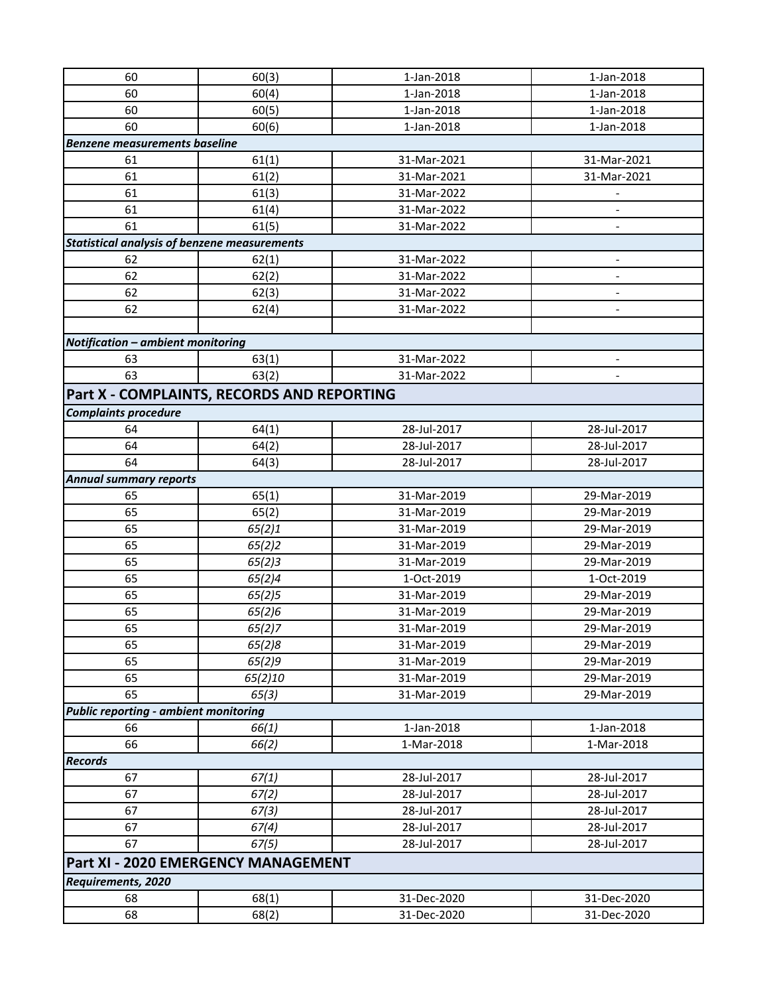| 60                                                  | 60(3)            | 1-Jan-2018  | 1-Jan-2018                 |
|-----------------------------------------------------|------------------|-------------|----------------------------|
| 60                                                  | 60(4)            | 1-Jan-2018  | 1-Jan-2018                 |
| 60                                                  | 60(5)            | 1-Jan-2018  | 1-Jan-2018                 |
| 60                                                  | 60(6)            | 1-Jan-2018  | 1-Jan-2018                 |
| <b>Benzene measurements baseline</b>                |                  |             |                            |
| 61                                                  | 61(1)            | 31-Mar-2021 | 31-Mar-2021                |
| 61                                                  | 61(2)            | 31-Mar-2021 | 31-Mar-2021                |
| 61                                                  | 61(3)            | 31-Mar-2022 |                            |
| 61                                                  | 61(4)            | 31-Mar-2022 |                            |
| 61                                                  | 61(5)            | 31-Mar-2022 |                            |
| <b>Statistical analysis of benzene measurements</b> |                  |             |                            |
| 62                                                  | 62(1)            | 31-Mar-2022 | $\overline{\phantom{a}}$   |
| 62                                                  | 62(2)            | 31-Mar-2022 | $\blacksquare$             |
| 62                                                  | 62(3)            | 31-Mar-2022 |                            |
| 62                                                  | 62(4)            | 31-Mar-2022 | $\overline{\phantom{a}}$   |
|                                                     |                  |             |                            |
| Notification - ambient monitoring                   |                  |             |                            |
| 63                                                  | 63(1)            | 31-Mar-2022 | $\overline{\phantom{a}}$   |
| 63                                                  | 63(2)            | 31-Mar-2022 |                            |
| Part X - COMPLAINTS, RECORDS AND REPORTING          |                  |             |                            |
| <b>Complaints procedure</b>                         |                  |             |                            |
| 64                                                  | 64(1)            | 28-Jul-2017 | 28-Jul-2017                |
| 64                                                  | 64(2)            | 28-Jul-2017 | 28-Jul-2017                |
| 64                                                  | 64(3)            | 28-Jul-2017 | 28-Jul-2017                |
| <b>Annual summary reports</b>                       |                  |             |                            |
| 65                                                  | 65(1)            | 31-Mar-2019 | 29-Mar-2019                |
| 65                                                  | 65(2)            | 31-Mar-2019 | 29-Mar-2019                |
| 65                                                  | 65(2)1           | 31-Mar-2019 | 29-Mar-2019                |
| 65                                                  | 65(2)2           | 31-Mar-2019 | 29-Mar-2019                |
| 65                                                  | 65(2)3           | 31-Mar-2019 | 29-Mar-2019                |
| 65                                                  | 65(2)4           | 1-Oct-2019  | 1-Oct-2019                 |
| 65                                                  | 65(2)5           | 31-Mar-2019 | 29-Mar-2019                |
| 65                                                  |                  | 31-Mar-2019 | 29-Mar-2019                |
| 65                                                  | 65(2)6           | 31-Mar-2019 | 29-Mar-2019                |
| 65                                                  | 65(2)7           | 31-Mar-2019 |                            |
| 65                                                  | 65(2)8<br>65(2)9 | 31-Mar-2019 | 29-Mar-2019<br>29-Mar-2019 |
| 65                                                  |                  | 31-Mar-2019 | 29-Mar-2019                |
| 65                                                  | 65(2)10<br>65(3) | 31-Mar-2019 | 29-Mar-2019                |
| <b>Public reporting - ambient monitoring</b>        |                  |             |                            |
| 66                                                  | 66(1)            | 1-Jan-2018  | 1-Jan-2018                 |
| 66                                                  | 66(2)            | 1-Mar-2018  | 1-Mar-2018                 |
| <b>Records</b>                                      |                  |             |                            |
| 67                                                  | 67(1)            | 28-Jul-2017 | 28-Jul-2017                |
| 67                                                  | 67(2)            | 28-Jul-2017 | 28-Jul-2017                |
| 67                                                  | 67(3)            | 28-Jul-2017 | 28-Jul-2017                |
| 67                                                  | 67(4)            | 28-Jul-2017 | 28-Jul-2017                |
| 67                                                  | 67(5)            | 28-Jul-2017 | 28-Jul-2017                |
|                                                     |                  |             |                            |
| <b>Part XI - 2020 EMERGENCY MANAGEMENT</b>          |                  |             |                            |
| <b>Requirements, 2020</b>                           |                  |             |                            |
| 68                                                  | 68(1)            | 31-Dec-2020 | 31-Dec-2020                |
| 68                                                  | 68(2)            | 31-Dec-2020 | 31-Dec-2020                |